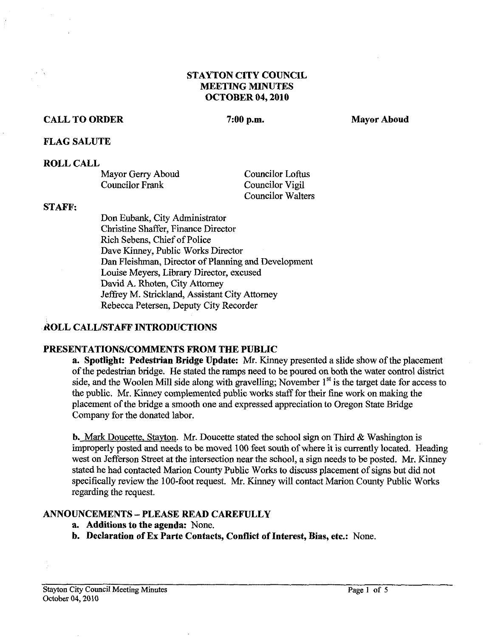# **STAYTON CITY COUNCIL MEETING MINUTES OCTOBER 04,2010**

# **CALL TO ORDER** 7:00 p.m. Mayor Aboud

#### **FLAG SALUTE**

#### **ROLL CALL**

| Mayor Gerry Aboud | <b>Councilor Loftus</b>  |
|-------------------|--------------------------|
| Councilor Frank   | Councilor Vigil          |
|                   | <b>Councilor Walters</b> |

#### **STAFF:**

Don Eubank, City Administrator Christine Shaffer, Finance Director Rich Sebens, Chief of Police Dave Kinney, Public Works Director **Dan** Fleishman, Director of Planning and Development Louise Meyers, Library Director, excused David A. Rhoten, City Attorney Jeffrey M. Strickland, Assistant City Attorney Rebecca Petersen, Deputy City Recorder

# **ROLL CALL/STAFF INTRODUCTIONS**

### **PRESENTATIONSICOMMENTS FROM THE PUBLIC**

**a. Spotlight: Pedestrian Bridge Update: Mr.** Kinney presented a slide show of the placement of the pedestrian bridge. He stated the ramps need to be poured on both the water control district side, and the Woolen Mill side along with gravelling; November **1''** is the target date for access to the public. Mr. Kinney complemented public works staff for their fine work on making the placement of the bridge a smooth one and expressed appreciation to Oregon State Bridge Company for the donated labor.

**b.** Mark Doucette. Stavton. *Mr.* Doucette stated the school sign on Third & Washington is improperly posted and needs to be moved 100 feet south of where it is currently located. Heading west on Jefferson Street at the intersection near the school, a sign needs to be posted. *Mr.* Kinney stated he had contacted Marion County Public Works to discuss placement of signs but did not specifically review the 100-foot request. Mr. Kinney will contact Marion County Public Works regarding the request.

### **ANNOUNCEMENTS** - **PLEASE READ CAREFULLY**

- **a. Additions to the agenda:** None.
- **b. Declaration of Ex Partc Contacts, Conflict of Interest, Bias, etc.:** None.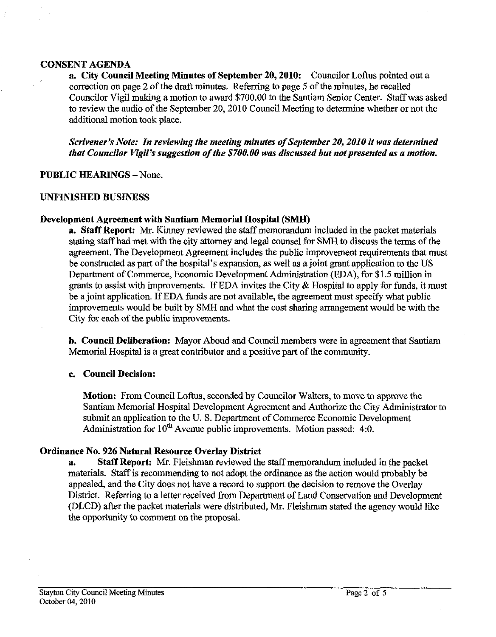#### **CONSENT AGENDA**

**a. City Council Meeting Minutes of September 20,2010:** Councilor Loftus pointed out a correction on page 2 of the draft minutes. Referring to page 5 of the minutes, he recalled Councilor Vigil making a motion to award \$700.00 to the Santiam Senior Center. Staff was asked to review the audio of the September 20,2010 Council Meeting to determine whether or not the additional motion took place.

*Scrivener's Note: In reviewing the meeting minutes of September 20,2010 it was determined that Councilor Vigil's suggestion of the \$700.00 was discussed but not presented as a motion.* 

### **PUBLIC HEARINGS - None.**

### **UNFINISHED BUSINESS**

### **Development Agreement with Santiam Memorial Hospital (SMH)**

**a. Staff Report:** *Mr.* Kinney reviewed the staff memorandum included in the packet materials stating staff had met with the city attorney and legal counsel for SMH to discuss the terms of the agreement. The Development Agreement includes the public improvement requirements that must be constructed as part of the hospital's expansion, as well as a joint grant application to the US Department of Commerce, Economic Development Administration (EDA), for \$1.5 million in grants to assist with improvements. If EDA invites the City  $\&$  Hospital to apply for funds, it must be a joint application. If EDA funds are not available, the agreement must specify what public improvements would be built by SMH and what the cost sharing arrangement would be with the City for each of the public improvements.

**b. Council Deliberation:** Mayor Aboud and Council members were in agreement that Santiam Memorial Hospital is a great contributor and a positive part of the community.

### **c. Council Decision:**

**Motion:** From Council Loftus, seconded by Councilor WaIters, to move to approve the Santiam Memorial Hospital Development Agreement and Authorize the City Administrator to submit an application to the U.S. Department of Commerce Economic Development Administration for  $10^{th}$  Avenue public improvements. Motion passed: 4:0.

### **Ordinance No. 926 Natural Resource Overlay District**

**a. Staff Report:** *Mr.* Fleishman reviewed the staff memorandum included in the packet materials. Staff is recommending to not adopt the ordinance as the action would probably be appealed, and the City does not have a record to support the decision to remove the Overlay District. Referring to a letter received from Department of Land Conservation and Development (DLCD) after the packet materials were distributed, *Mr.* Fleishman stated the agency would like the opportunity to comment on the proposal.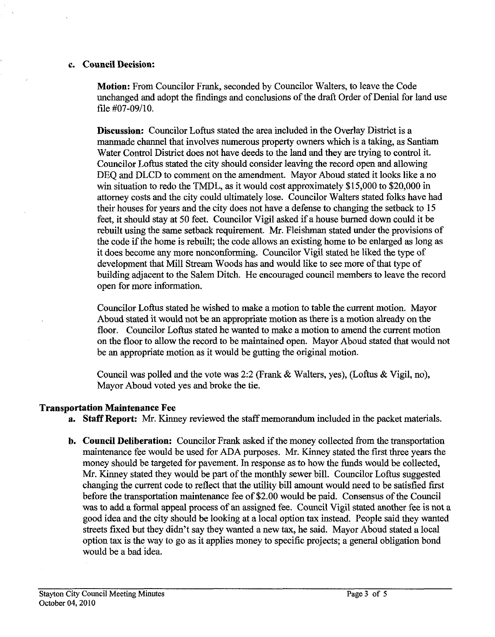#### c. Council Decision:

Motion: From Councilor Frank, seconded by Councilor Walters, to leave the Code unchanged and adopt the findings and conclusions of the draft Order of Denial for land use file **#07-09/10.** 

Discussion: Councilor Loftus stated the area included in the Overlay District is a manmade channel that involves numerous property owners which is a taking, as Santiam Water Control District does not have deeds to the land and they are trying to control it. Councilor Loftus stated the city should consider leaving the record open and allowing DEQ and DLCD to comment on the amendment. Mayor Aboud stated it looks like a no win situation to redo the TMDL, as it would cost approximately **\$15,000** to **\$20,000** in attorney costs and the city could ultimately lose. Councilor Walters stated folks have had their houses for years and the city does not have a defense to changing the setback to **15**  feet, it should stay at **50** feet. Councilor Vigil asked if a house burned down could it be rebuilt using the same setback requirement. Mr. Fleishman stated under the provisions of the code if the home is rebuilt; the code allows an existing home to be enlarged as long as it does become any more nonconforming. Councilor Vigil stated he liked the type of development that Mill Stream Woods has and would like to see more of that type of building adjacent to the Salem Ditch. He encouraged council members to leave the record open for more information.

Councilor Loftus stated he wished to make a motion to table the current motion. Mayor Aboud stated it would not be an appropriate motion as there is a motion already on the floor. Councilor Loftus stated he wanted to make a motion *to* amend the current motion on the floor to allow the record to be maintained open. Mayor Aboud stated that would not be an appropriate motion as it would be gutting the original motion.

Council was polled and the vote was **2:2** (Frank & Walters, yes), (Loftus & Vigil, no), Mayor Aboud voted yes and broke the tie.

#### Transportation Maintenance Fee

- a. Staff Report: Mr. Kinney reviewed the staff memorandum included in the packet materials.
- **b.** Council Deliberation: Councilor Frank asked if the money collected from the transportation maintenance fee would be used for ADA purposes. Mr. Kinney stated the first three years the money should be targeted for pavement. In response as to how the funds would be collected, Mr. Kinney stated they would be part of the monthly sewer bill. Councilor Loftus suggested changing the current code to reflect that the utility bill amount would need to be satisfied first before the transportation maintenance fee of **\$2.00** would be paid. Consensus of the Council was to add a formal appeal process of an assigned fee. Council Vigil stated another fee is not a good idea and the city should be looking at a local option tax instead. People said they wanted streets fixed but they didn't say they wanted a new tax, he said. Mayor Aboud stated a local option tax is the way to go as it applies money to specific projects; a general obligation bond would be a bad idea.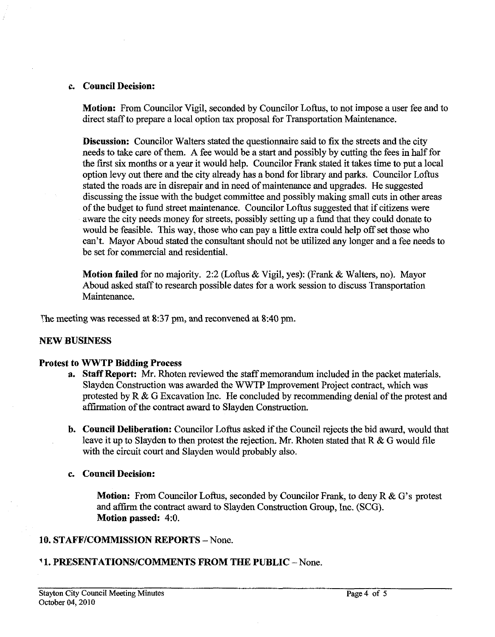#### **c. Council Decision:**

**Motion:** From Councilor Vigil, seconded by Councilor Loftus, to not impose a user fee and to direct staff to prepare a local option tax proposal for Transportation Maintenance.

**Discussion:** Councilor Walters stated the questionnaire said to fix the streets and the city needs to take care of them. A fee would be a start and possibly by cutting the fees in half for the fist six months or a year it would help. Councilor Frank stated it takes time to put a local option levy out there and the city already has a bond for library and parks. Councilor Loftus stated the roads are in disrepair and in need of maintenance and upgrades. He suggested discussing the issue with the budget committee and possibly making small cuts in other areas of the budget to fund street maintenance. Councilor Loftus suggested that if citizens were aware the city needs money for streets, possibly setting up a fund that they could donate to would be feasible. This way, those who can pay a little extra could help off set those who can't. Mayor Aboud stated the consultant should not be utilized any longer and a fee needs to be set for commercial and residential.

**Motion failed** for no majority. 2:2 (Loftus & Vigil, yes): (Frank & Walters, no). Mayor Aboud asked staff to research possible dates for a work session to discuss Transportation Maintenance.

The meeting was recessed at **8:37** pm, and reconvened at 8:40 pm.

#### **NEW BUSINESS**

#### **Protest to \IrWTP Bidding Process**

- **a. Staff Report: Mr.** Rhoten reviewed the staff memorandum included in the packet materials. Slayden Construction was awarded the WWTP Improvement Project contract, which was protested by  $R \& G$  Excavation Inc. He concluded by recommending denial of the protest and affirmation of the contract award to Slayden Construction.
- **b. Council Deliberation:** Councilor Loftus asked if the Council rejects the bid award, would that leave it up to Slayden to then protest the rejection. Mr. Rhoten stated that R & G would file with the circuit court and Slayden would probably also.
- **c. Council Decision:**

**Motion:** From Councilor Loffus, seconded by Councilor Frank, to deny R & G's protest and affirm the contract award to Slayden Construction Group, Inc. (SCG). **Motion passed:** 4:O.

#### **10. STAFFICOMMISSION REPORTS** - None.

### ' **1. PRESENTATIONSICOMMENTS FROM THE PUBLIC** -None.